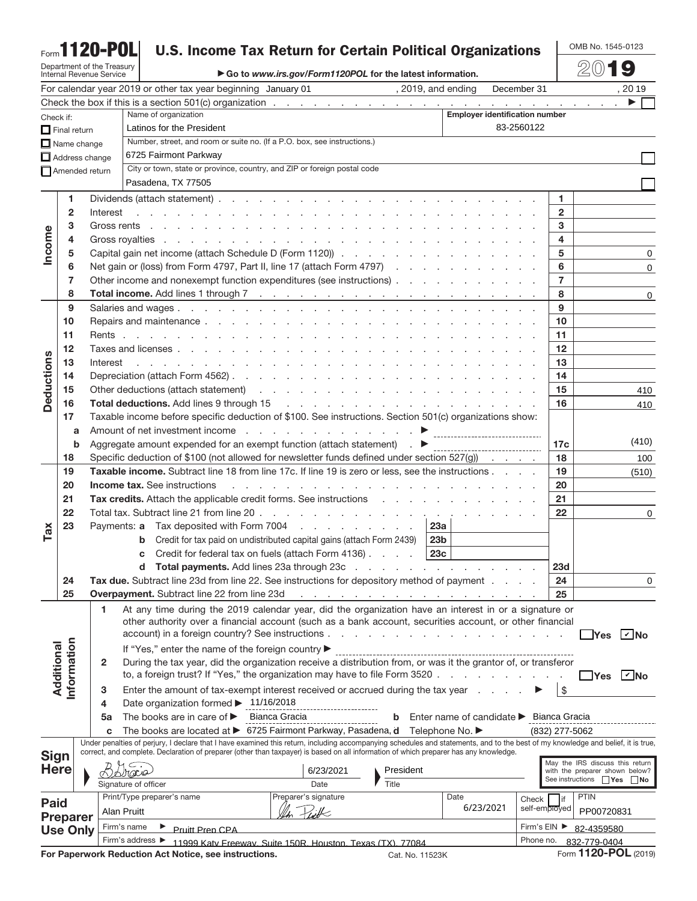# Form**1120-POL**

Department of the Treasury Internal Revenue Service

## **U.S. Income Tax Return for Certain Political Organizations**

OMB No. 1545-0123

▶ Go to *www.irs.gov/Form1120POL* for the latest information.

20**19**

| For calendar year 2019 or other tax year beginning January 01 (3019, and ending<br>December 31 |                     |                                                                                                         |                                                                          |                                                                                                                                                                                                                                |                                                                                           |           |                                         |                                       | , 20 19         |                                 |                                        |
|------------------------------------------------------------------------------------------------|---------------------|---------------------------------------------------------------------------------------------------------|--------------------------------------------------------------------------|--------------------------------------------------------------------------------------------------------------------------------------------------------------------------------------------------------------------------------|-------------------------------------------------------------------------------------------|-----------|-----------------------------------------|---------------------------------------|-----------------|---------------------------------|----------------------------------------|
|                                                                                                |                     |                                                                                                         |                                                                          |                                                                                                                                                                                                                                |                                                                                           |           |                                         |                                       |                 |                                 |                                        |
| Check if:                                                                                      |                     |                                                                                                         |                                                                          | Name of organization                                                                                                                                                                                                           |                                                                                           |           |                                         | <b>Employer identification number</b> |                 |                                 |                                        |
|                                                                                                | $\Box$ Final return |                                                                                                         | 83-2560122<br>Latinos for the President                                  |                                                                                                                                                                                                                                |                                                                                           |           |                                         |                                       |                 |                                 |                                        |
|                                                                                                |                     | $\Box$ Name change                                                                                      |                                                                          | Number, street, and room or suite no. (If a P.O. box, see instructions.)                                                                                                                                                       |                                                                                           |           |                                         |                                       |                 |                                 |                                        |
|                                                                                                |                     | $\Box$ Address change                                                                                   |                                                                          | 6725 Fairmont Parkway                                                                                                                                                                                                          |                                                                                           |           |                                         |                                       |                 |                                 |                                        |
|                                                                                                |                     | Amended return                                                                                          | City or town, state or province, country, and ZIP or foreign postal code |                                                                                                                                                                                                                                |                                                                                           |           |                                         |                                       |                 |                                 |                                        |
|                                                                                                |                     |                                                                                                         |                                                                          | Pasadena, TX 77505                                                                                                                                                                                                             |                                                                                           |           |                                         |                                       |                 |                                 |                                        |
|                                                                                                | 1                   |                                                                                                         |                                                                          |                                                                                                                                                                                                                                |                                                                                           |           |                                         |                                       | 1.              |                                 |                                        |
|                                                                                                | $\overline{2}$      |                                                                                                         | Interest                                                                 | and the property of the property of the property of the property of the property of the property of the property of the property of the property of the property of the property of the property of the property of the proper |                                                                                           |           |                                         |                                       | $\mathbf{2}$    |                                 |                                        |
|                                                                                                | 3                   |                                                                                                         |                                                                          |                                                                                                                                                                                                                                |                                                                                           |           |                                         |                                       | 3               |                                 |                                        |
| Income                                                                                         | 4                   |                                                                                                         |                                                                          |                                                                                                                                                                                                                                |                                                                                           |           |                                         |                                       | 4               |                                 |                                        |
|                                                                                                | 5                   |                                                                                                         |                                                                          | Capital gain net income (attach Schedule D (Form 1120))                                                                                                                                                                        |                                                                                           |           |                                         |                                       | 5               |                                 | 0                                      |
|                                                                                                | 6                   |                                                                                                         |                                                                          | Net gain or (loss) from Form 4797, Part II, line 17 (attach Form 4797)                                                                                                                                                         |                                                                                           |           |                                         |                                       | 6               |                                 | 0                                      |
|                                                                                                | 7                   |                                                                                                         |                                                                          | Other income and nonexempt function expenditures (see instructions)                                                                                                                                                            |                                                                                           |           |                                         |                                       | $\overline{7}$  |                                 |                                        |
|                                                                                                | 8                   |                                                                                                         |                                                                          |                                                                                                                                                                                                                                |                                                                                           |           |                                         |                                       | 8               |                                 | 0                                      |
|                                                                                                | 9                   |                                                                                                         |                                                                          |                                                                                                                                                                                                                                |                                                                                           |           |                                         |                                       | 9               |                                 |                                        |
|                                                                                                | 10                  |                                                                                                         |                                                                          |                                                                                                                                                                                                                                |                                                                                           |           |                                         |                                       | 10              |                                 |                                        |
|                                                                                                | 11                  |                                                                                                         |                                                                          |                                                                                                                                                                                                                                |                                                                                           |           |                                         |                                       | 11              |                                 |                                        |
|                                                                                                | 12                  |                                                                                                         |                                                                          |                                                                                                                                                                                                                                |                                                                                           |           |                                         |                                       | 12              |                                 |                                        |
|                                                                                                | 13                  |                                                                                                         | Interest                                                                 | and the property of the property of the property of the property of the property of the property of the property of the property of the property of the property of the property of the property of the property of the proper |                                                                                           |           |                                         |                                       | 13              |                                 |                                        |
|                                                                                                | 14                  |                                                                                                         |                                                                          |                                                                                                                                                                                                                                |                                                                                           |           |                                         |                                       | 14              |                                 |                                        |
| <b>Deductions</b>                                                                              | 15                  |                                                                                                         |                                                                          | Other deductions (attach statement) (e.g. in the contract of the contract of the contract of the contract of the contract of the contract of the contract of the contract of the contract of the contract of the contract of t |                                                                                           |           |                                         |                                       | 15              |                                 | 410                                    |
|                                                                                                | 16                  |                                                                                                         |                                                                          | Total deductions. Add lines 9 through 15 (a) and a set of the contract of the contract of the contract of the contract of the contract of the contract of the contract of the contract of the contract of the contract of the  |                                                                                           |           |                                         |                                       | 16              |                                 | 410                                    |
|                                                                                                | 17                  |                                                                                                         |                                                                          |                                                                                                                                                                                                                                |                                                                                           |           |                                         |                                       |                 |                                 |                                        |
|                                                                                                | a                   | Taxable income before specific deduction of \$100. See instructions. Section 501(c) organizations show: |                                                                          |                                                                                                                                                                                                                                |                                                                                           |           |                                         |                                       |                 |                                 |                                        |
|                                                                                                | b                   |                                                                                                         |                                                                          | Aggregate amount expended for an exempt function (attach statement) $\qquad \qquad \blacktriangleright$                                                                                                                        |                                                                                           |           | ---------------------------------       |                                       | 17 <sub>c</sub> |                                 | (410)                                  |
|                                                                                                | 18                  |                                                                                                         |                                                                          | Specific deduction of \$100 (not allowed for newsletter funds defined under section $527(g)$ ).                                                                                                                                |                                                                                           |           |                                         |                                       | 18              |                                 | 100                                    |
|                                                                                                | 19                  |                                                                                                         |                                                                          | Taxable income. Subtract line 18 from line 17c. If line 19 is zero or less, see the instructions                                                                                                                               |                                                                                           |           |                                         |                                       | 19              |                                 | (510)                                  |
|                                                                                                | 20                  |                                                                                                         |                                                                          | <b>Income tax.</b> See instructions                                                                                                                                                                                            | والمناور والمناور والمناور والمناور والمناور والمناور والمناور والمناور والمناور والمناور |           |                                         |                                       | 20              |                                 |                                        |
|                                                                                                | 21                  |                                                                                                         |                                                                          | Tax credits. Attach the applicable credit forms. See instructions                                                                                                                                                              |                                                                                           |           |                                         |                                       | 21              |                                 |                                        |
|                                                                                                | 22                  |                                                                                                         |                                                                          |                                                                                                                                                                                                                                |                                                                                           |           |                                         |                                       | 22              |                                 | 0                                      |
|                                                                                                | 23                  |                                                                                                         | Payments: a                                                              | Tax deposited with Form 7004                                                                                                                                                                                                   |                                                                                           |           | 23a                                     |                                       |                 |                                 |                                        |
| Ta <b>x</b>                                                                                    |                     |                                                                                                         |                                                                          | Credit for tax paid on undistributed capital gains (attach Form 2439)<br>b                                                                                                                                                     |                                                                                           |           | 23 <sub>b</sub>                         |                                       |                 |                                 |                                        |
|                                                                                                |                     |                                                                                                         |                                                                          | Credit for federal tax on fuels (attach Form 4136)<br>с                                                                                                                                                                        |                                                                                           |           | 23c                                     |                                       |                 |                                 |                                        |
|                                                                                                |                     |                                                                                                         |                                                                          | Total payments. Add lines 23a through 23c<br>d                                                                                                                                                                                 |                                                                                           |           |                                         |                                       | 23d             |                                 |                                        |
|                                                                                                | 24                  |                                                                                                         |                                                                          | Tax due. Subtract line 23d from line 22. See instructions for depository method of payment                                                                                                                                     |                                                                                           |           |                                         |                                       | 24              |                                 | 0                                      |
|                                                                                                | 25                  |                                                                                                         |                                                                          |                                                                                                                                                                                                                                |                                                                                           |           |                                         |                                       | 25              |                                 |                                        |
|                                                                                                |                     |                                                                                                         | 1                                                                        | At any time during the 2019 calendar year, did the organization have an interest in or a signature or                                                                                                                          |                                                                                           |           |                                         |                                       |                 |                                 |                                        |
|                                                                                                |                     |                                                                                                         |                                                                          | other authority over a financial account (such as a bank account, securities account, or other financial                                                                                                                       |                                                                                           |           |                                         |                                       |                 |                                 |                                        |
|                                                                                                |                     |                                                                                                         |                                                                          |                                                                                                                                                                                                                                |                                                                                           |           |                                         |                                       |                 |                                 | $\exists$ Yes $\boxed{\mathcal{C}}$ No |
|                                                                                                |                     |                                                                                                         |                                                                          | If "Yes," enter the name of the foreign country ▶                                                                                                                                                                              |                                                                                           |           |                                         |                                       |                 |                                 |                                        |
| Additional                                                                                     | nformation          |                                                                                                         | $\mathbf{2}$                                                             | During the tax year, did the organization receive a distribution from, or was it the grantor of, or transferor                                                                                                                 |                                                                                           |           |                                         |                                       |                 |                                 |                                        |
|                                                                                                |                     |                                                                                                         |                                                                          | to, a foreign trust? If "Yes," the organization may have to file Form 3520.                                                                                                                                                    |                                                                                           |           | and the company of the company of       |                                       |                 |                                 | $\exists$ Yes $\Box$ No                |
|                                                                                                |                     |                                                                                                         | 3                                                                        | Enter the amount of tax-exempt interest received or accrued during the tax year                                                                                                                                                |                                                                                           |           |                                         |                                       | \$              |                                 |                                        |
|                                                                                                |                     |                                                                                                         | 4                                                                        | Date organization formed > 11/16/2018                                                                                                                                                                                          |                                                                                           |           |                                         |                                       |                 |                                 |                                        |
|                                                                                                |                     |                                                                                                         | 5a                                                                       | The books are in care of $\blacktriangleright$<br>Bianca Gracia                                                                                                                                                                |                                                                                           | b         | Enter name of candidate ► Bianca Gracia |                                       |                 |                                 |                                        |
|                                                                                                |                     |                                                                                                         | c                                                                        | The books are located at ▶ 6725 Fairmont Parkway, Pasadena, d Telephone No. ▶                                                                                                                                                  |                                                                                           |           |                                         |                                       | (832) 277-5062  |                                 |                                        |
|                                                                                                |                     |                                                                                                         |                                                                          | Under penalties of perjury, I declare that I have examined this return, including accompanying schedules and statements, and to the best of my knowledge and belief, it is true,                                               |                                                                                           |           |                                         |                                       |                 |                                 |                                        |
| <b>Sign</b>                                                                                    |                     |                                                                                                         |                                                                          | correct, and complete. Declaration of preparer (other than taxpayer) is based on all information of which preparer has any knowledge.                                                                                          |                                                                                           |           |                                         |                                       |                 | May the IRS discuss this return |                                        |
| <b>Here</b>                                                                                    |                     |                                                                                                         |                                                                          |                                                                                                                                                                                                                                | 6/23/2021                                                                                 | President |                                         |                                       |                 | with the preparer shown below?  |                                        |
|                                                                                                |                     |                                                                                                         |                                                                          | Signature of officer                                                                                                                                                                                                           | Date                                                                                      | Title     |                                         |                                       |                 | See instructions <b>Yes</b> No  |                                        |
| <b>Paid</b>                                                                                    |                     |                                                                                                         |                                                                          | Print/Type preparer's name                                                                                                                                                                                                     | Preparer's signature                                                                      |           | Date                                    |                                       | lif<br>Check    | <b>PTIN</b>                     |                                        |
|                                                                                                | <b>Preparer</b>     |                                                                                                         | Alan Pruitt                                                              |                                                                                                                                                                                                                                |                                                                                           |           | 6/23/2021                               |                                       | self-employed   | PP00720831                      |                                        |
|                                                                                                |                     | <b>Use Only</b>                                                                                         |                                                                          | Firm's name<br>Pruitt Prep CPA                                                                                                                                                                                                 |                                                                                           |           |                                         |                                       | Firm's EIN ▶    | 82-4359580                      |                                        |
|                                                                                                |                     |                                                                                                         |                                                                          | Firm's address ▶<br>Phone no.<br>11999 Katy Freeway, Suite 150R, Houston, Texas (TX), 77084                                                                                                                                    |                                                                                           |           |                                         |                                       | 832-779-0404    |                                 |                                        |

**For Paperwork Reduction Act Notice, see instructions.** Cat. No. 11523K Form **1120-POL** (2019)

|  | ኔat. No. 11523K |  |
|--|-----------------|--|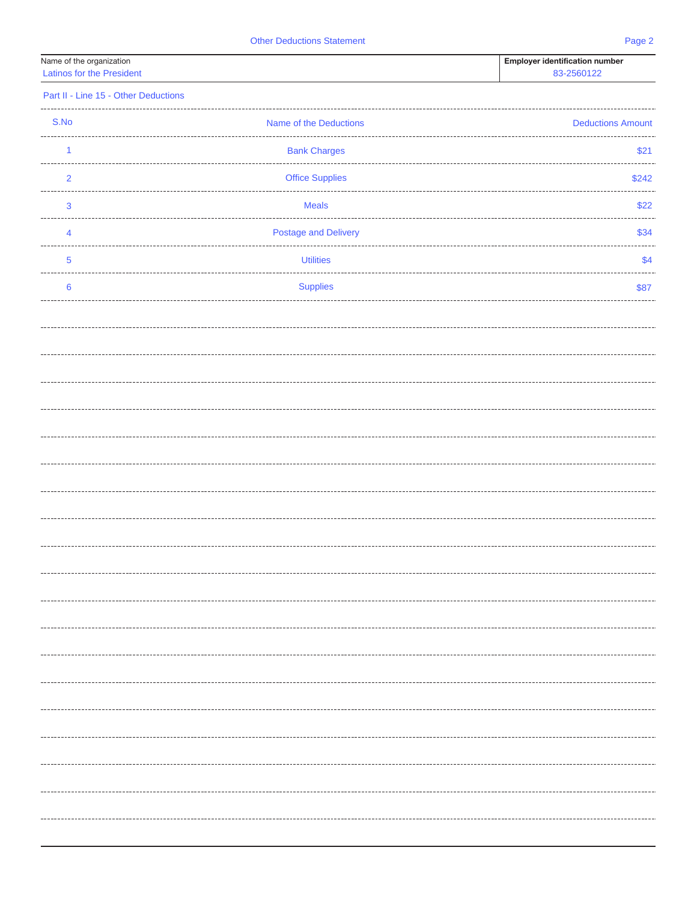| Name of the organization  | <b>Employer identification number</b> |
|---------------------------|---------------------------------------|
| Latinos for the President | <b>83-256010</b>                      |

|  |  | Part II - Line 15 - Other Deductions |
|--|--|--------------------------------------|
|  |  |                                      |

| S.No                    | Name of the Deductions      | <b>Deductions Amount</b> |
|-------------------------|-----------------------------|--------------------------|
| 1                       | <b>Bank Charges</b>         | \$21                     |
| $\overline{\mathbf{c}}$ | <b>Office Supplies</b>      | \$242                    |
| 3                       | <b>Meals</b>                | \$22                     |
| 4                       | <b>Postage and Delivery</b> | \$34                     |
| 5                       | <b>Utilities</b>            | \$4                      |
| $\bf 6$                 | <b>Supplies</b>             | \$87                     |
|                         |                             |                          |
|                         |                             |                          |
|                         |                             |                          |
|                         |                             |                          |
|                         |                             |                          |
|                         |                             |                          |
|                         |                             |                          |
|                         |                             |                          |
|                         |                             |                          |
|                         |                             |                          |
|                         |                             |                          |
|                         |                             |                          |
|                         |                             |                          |
|                         |                             |                          |
|                         |                             |                          |
|                         |                             |                          |
|                         |                             |                          |
|                         |                             |                          |
|                         |                             |                          |
|                         |                             |                          |